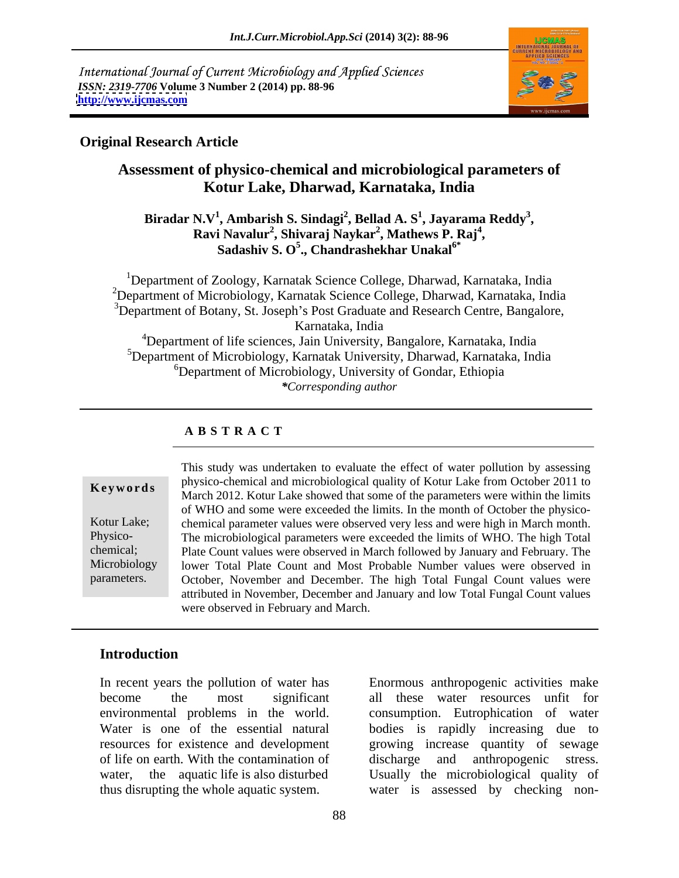International Journal of Current Microbiology and Applied Sciences *ISSN: 2319-7706* **Volume 3 Number 2 (2014) pp. 88-96 <http://www.ijcmas.com>**



### **Original Research Article**

# **Assessment of physico-chemical and microbiological parameters of Kotur Lake, Dharwad, Karnataka, India**

**Biradar N.V<sup>1</sup> , Ambarish S. Sindagi<sup>2</sup> , Bellad A. S<sup>1</sup> , Jayarama Reddy<sup>3</sup> , Ravi Navalur<sup>2</sup> , Shivaraj Naykar<sup>2</sup> , Mathews P. Raj<sup>4</sup>** i Navalur<sup>2</sup>, Shivaraj Naykar<sup>2</sup>, Mathews P. Raj<sup>4</sup>,<br>Sadashiv S. O<sup>5</sup>., Chandrashekhar Unakal<sup>6\*</sup>

<sup>1</sup>Department of Zoology, Karnatak Science College, Dharwad, Karnataka, India <sup>2</sup>Department of Microbiology, Karnatak Science College, Dharwad, Karnataka, India  $3$ Department of Botany, St. Joseph's Post Graduate and Research Centre, Bangalore, Karnataka, India <sup>4</sup>Department of life sciences, Jain University, Bangalore, Karnataka, India <sup>5</sup>Department of Microbiology, Karnatak University, Dharwad, Karnataka, India <sup>6</sup>Department of Microbiology, University of Gondar, Ethiopia *\*Corresponding author*

# **A B S T R A C T**

**Ke ywo rds** physico-chemical and microbiological quality of Kotur Lake from October 2011 to Kotur Lake; chemical parameter values were observed very less and were high in March month. Physico- The microbiological parameters were exceeded the limits of WHO. The high Total chemical; Plate Count values were observed in March followed by January and February. The Microbiology lower Total Plate Count and Most Probable Number values were observed in parameters. October, November and December. The high Total Fungal Count values were This study was undertaken to evaluate the effect of water pollution by assessing March 2012. Kotur Lake showed that some of the parameters were within the limits of WHO and some were exceeded the limits. In the month of October the physico attributed in November, December and January and low Total Fungal Count values were observed in February and March.

# **Introduction**

In recent years the pollution of water has Enormous anthropogenic activities make become the most significant all these water resources unfit for environmental problems in the world. consumption. Eutrophication of water Water is one of the essential natural bodies is rapidly increasing due to resources for existence and development growing increase quantity of sewage of life on earth. With the contamination of discharge and anthropogenic stress. water, the aquatic life is also disturbed Usually the microbiological quality of thus disrupting the whole aquatic system. water is assessed by checking non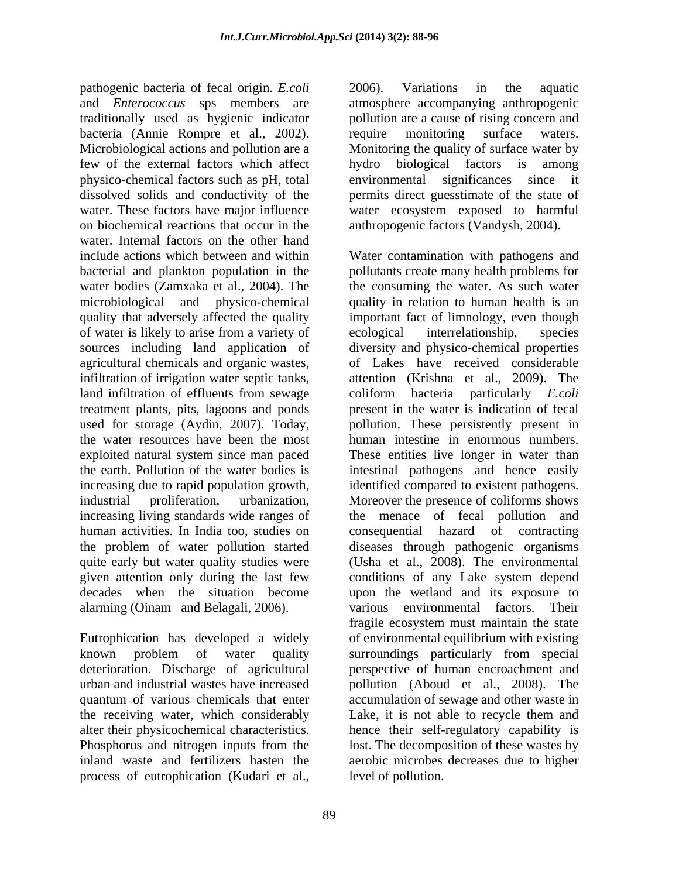pathogenic bacteria of fecal origin. *E.coli* and *Enterococcus* sps members are atmosphere accompanying anthropogenic traditionally used as hygienic indicator bacteria (Annie Rompre et al., 2002). In require monitoring surface waters.<br>Microbiological actions and pollution are a Monitoring the quality of surface water by few of the external factors which affect physico-chemical factors such as pH, total dissolved solids and conductivity of the permits direct guesstimate of the state of water. These factors have major influence water ecosystem exposed to harmful on biochemical reactions that occur in the anthropogenic factors (Vandysh, 2004). water. Internal factors on the other hand include actions which between and within Water contamination with pathogens and bacterial and plankton population in the pollutants create many health problems for water bodies (Zamxaka et al., 2004). The the consuming the water. As such water microbiological and physico-chemical quality in relation to human health is an quality that adversely affected the quality important fact of limnology, even though of water is likely to arise from a variety of sources including land application of diversity and physico-chemical properties agricultural chemicals and organic wastes, infiltration of irrigation water septic tanks, land infiltration of effluents from sewage coliform bacteria particularly *E.coli* treatment plants, pits, lagoons and ponds present in the water is indication of fecal used for storage (Aydin, 2007). Today, pollution. These persistently present in the water resources have been the most exploited natural system since man paced the earth. Pollution of the water bodies is intestinal pathogens and hence easily increasing due to rapid population growth, identified compared to existent pathogens. industrial proliferation, urbanization, Moreover the presence of coliforms shows increasing living standards wide ranges of the menace of fecal pollution and human activities. In India too, studies on consequential hazard of contracting the problem of water pollution started diseases through pathogenic organisms quite early but water quality studies were (Usha et al., 2008). The environmental given attention only during the last few conditions of any Lake system depend decades when the situation become upon the wetland and its exposure to

known problem of water quality surroundings particularly from special process of eutrophication (Kudari et al.,

2006). Variations in the aquatic pollution are a cause of rising concern and require monitoring surface waters. Monitoring the quality of surface water by hydro biological factors is among environmental significances since

alarming (Oinam and Belagali, 2006). various environmental factors. Their<br>fragile ecosystem must maintain the state<br>Eutrophication has developed a widely of environmental equilibrium with existing deterioration. Discharge of agricultural perspective of human encroachment and urban and industrial wastes have increased pollution (Aboud et al., 2008). The quantum of various chemicals that enter accumulation of sewage and other waste in the receiving water, which considerably Lake, it is not able to recycle them and alter their physicochemical characteristics. hence their self-regulatory capability is Phosphorus and nitrogen inputs from the lost. The decomposition of these wastes by inland waste and fertilizers hasten the aerobic microbes decreases due to higher anthropogenic factors (Vandysh, 2004). Water contamination with pathogens and ecological interrelationship, species of Lakes have received considerable attention (Krishna et al., 2009). The human intestine in enormous numbers. These entities live longer in water than various environmental factors. Their fragile ecosystem must maintain the state of environmental equilibrium with existing surroundings particularly from special lost. The decomposition of these wastes by level of pollution.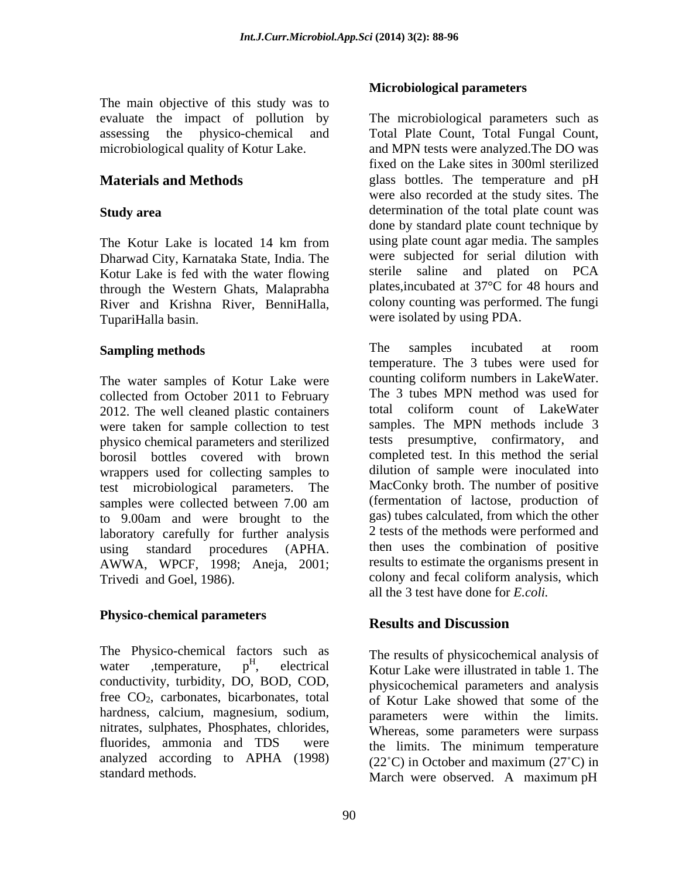The main objective of this study was to

Dharwad City, Karnataka State, India. The Kotur Lake is fed with the water flowing through the Western Ghats, Malaprabha River and Krishna River, BenniHalla, TupariHalla basin. were isolated by using PDA.

The water samples of Kotur Lake were collected from October 2011 to February<br>
2012 The well cleaned plastic containers<br>
2012 The well cleaned plastic containers<br>
2013 The Well cleaned plastic containers<br>
2013 The Well cleaned plastic containers 2012. The well cleaned plastic containers were taken for sample collection to test physico chemical parameters and sterilized borosil bottles covered with brown wrappers used for collecting samples to test microbiological parameters. The to 9.00am and were brought to the laboratory carefully for further analysis AWWA, WPCF, 1998; Aneja, 2001;

# **Physico-chemical parameters**

The Physico-chemical factors such as<br>water , temperature,  $p<sup>H</sup>$ , electrical water , temperature,  $p<sup>H</sup>$ , electrical Kotur Lake were illustrated in table 1. The conductivity, turbidity, DO, BOD, COD, free  $CO<sub>2</sub>$ , carbonates, bicarbonates, total hardness, calcium, magnesium, sodium, nitrates, sulphates, Phosphates, chlorides, fluorides, ammonia and TDS were the limits. The minimum temperature analyzed according to APHA (1998)

# **Microbiological parameters**

evaluate the impact of pollution by The microbiological parameters such as assessing the physico-chemical and Total Plate Count, Total Fungal Count, microbiological quality of Kotur Lake. and MPN tests were analyzed.The DO was **Materials and Methods** glass bottles. The temperature and pH **Study area** determination of the total plate count was The Kotur Lake is located 14 km from using plate count agar media. The samples fixed on the Lake sites in 300ml sterilized were also recorded at the study sites. The done by standard plate count technique by using plate count agar media. The samples were subjected for serial dilution with sterile saline and plated on PCA plates,incubated at 37°C for 48 hours and colony counting was performed. The fungi

**Sampling methods Samples Samples Samples Samples Samples Samples Samples Samples Samples Samples Samples Samples Samples Samples Samples Samples Samples Samples Samples Samples Sa** samples were collected between 7.00 am (fermentation of lactose, production of using standard procedures (APHA. then uses the combination of positive Trivedi and Goel, 1986). colony and fecal coliform analysis, which The samples incubated at room temperature. The 3 tubes were used for counting coliform numbers in LakeWater. The 3 tubes MPN method was used for total coliform count of LakeWater samples. The MPN methods include 3 tests presumptive, confirmatory, and completed test. In this method the serial dilution of sample were inoculated into MacConky broth. The number of positive (fermentation of lactose, production of gas) tubes calculated, from which the other 2 tests of the methods were performed and results to estimate the organisms present in all the 3 test have done for *E.coli.*

# **Results and Discussion**

 $H_{\text{electrical}}$   $\ldots$   $H_{\text{recoefficient}}$  analysis of standard methods. March were observed. A maximum pH The results of physicochemical analysis of physicochemical parameters and analysis of Kotur Lake showed that some of the parameters were within the limits. Whereas, some parameters were surpass  $(22^{\circ}C)$  in October and maximum  $(27^{\circ}C)$  in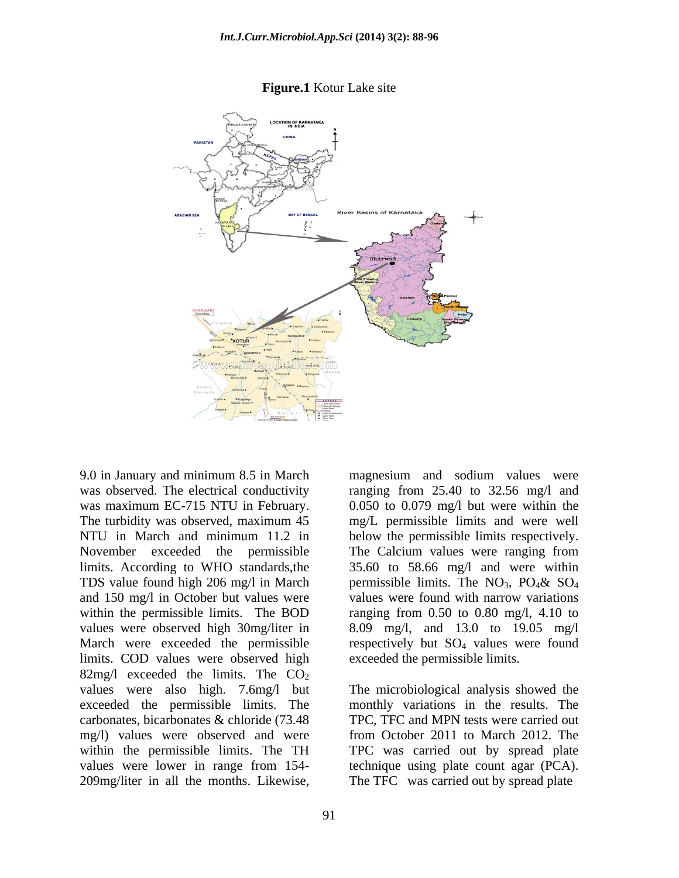

### **Figure.1** Kotur Lake site

within the permissible limits. The BOD limits. COD values were observed high 82mg/l exceeded the limits. The  $CO<sub>2</sub>$ values were also high. 7.6mg/l but The microbiological analysis showed the exceeded the permissible limits. The carbonates, bicarbonates & chloride (73.48 TPC, TFC and MPN tests were carried out mg/l) values were observed and were from October 2011 to March 2012. The within the permissible limits. The TH TPC was carried out by spread plate values were lower in range from 154- technique using plate count agar (PCA). 9.0 in January and minimum 8.5 in March magnesium and sodium values were<br>was observed. The electrical conductivity ranging from 25.40 to 32.56 mg/l and<br>was maximum EC-715 NTU in February. 0.050 to 0.079 mg/l but were with

9.0 in January and minimum 8.5 in March magnesium and sodium values were was observed. The electrical conductivity ranging from 25.40 to 32.56 mg/l and was maximum EC-715 NTU in February.  $0.050$  to 0.079 mg/l but were within the The turbidity was observed, maximum 45 mg/L permissible limits and were well NTU in March and minimum 11.2 in below the permissible limits respectively. November exceeded the permissible The Calcium values were ranging from limits. According to WHO standards,the 35.60 to 58.66 mg/l and were within TDS value found high 206 mg/l in March permissible limits. The  $NO<sub>3</sub>$ ,  $PO<sub>4</sub>$ &  $SO<sub>4</sub>$ and 150 mg/l in October but values were values were found with narrow variations values were observed high 30mg/liter in 8.09 mg/l, and 13.0 to 19.05 mg/l March were exceeded the permissible respectively but  $SO_4$  values were found permissible limits. The  $NO_3$ ,  $PO_4\&$   $SO_4$ ranging from  $0.50$  to  $0.80$  mg/l,  $4.10$  to exceeded the permissible limits.

> monthly variations in the results. The The TFC was carried out by spread plate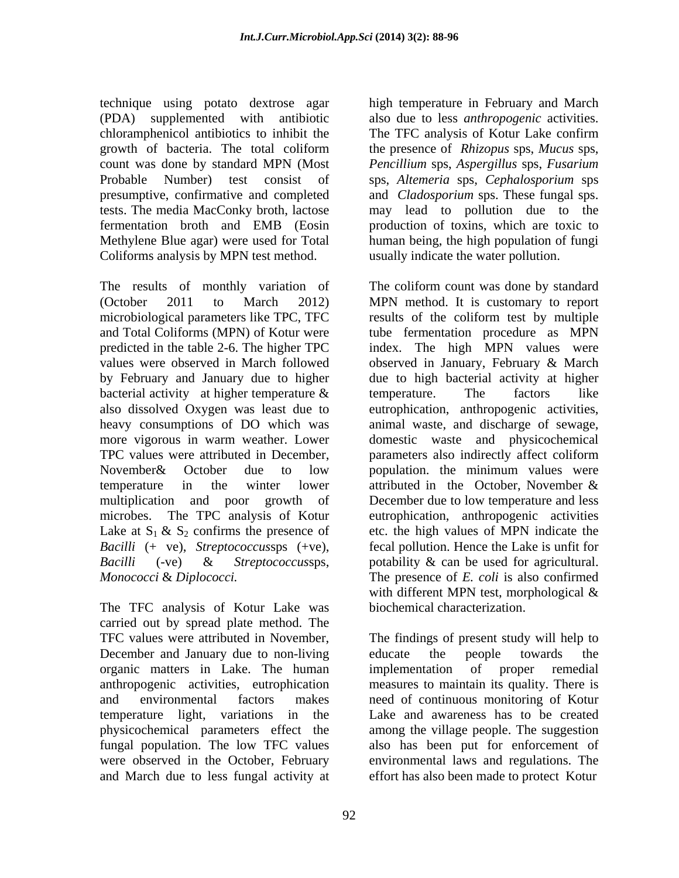technique using potato dextrose agar high temperature in February and March (PDA) supplemented with antibiotic also due to less *anthropogenic* activities. chloramphenicol antibiotics to inhibit the TFC analysis of Kotur Lake confirm growth of bacteria. The total coliform the presence of *Rhizopus* sps, *Mucus* sps, count was done by standard MPN (Most *Pencillium* sps, *Aspergillus* sps, *Fusarium* Probable Number) test consist of sps, *Altemeria* sps, *Cephalosporium* sps presumptive, confirmative and completed and *Cladosporium* sps. These fungal sps. tests. The media MacConky broth, lactose may lead to pollution due to the fermentation broth and EMB (Eosin production of toxins, which are toxic to Methylene Blue agar) were used for Total human being, the high population of fungi Coliforms analysis by MPN test method.

The results of monthly variation of The coliform count was done by standard (October 2011 to March 2012) MPN method. It is customary to report microbiological parameters like TPC, TFC results of the coliform test by multiple and Total Coliforms (MPN) of Kotur were tube fermentation procedure as MPN predicted in the table 2-6. The higher TPC index. The high MPN values were values were observed in March followed observed in January, February & March by February and January due to higher due to high bacterial activity at higher bacterial activity at higher temperature  $\&$  temperature. The factors like also dissolved Oxygen was least due to eutrophication, anthropogenic activities, heavy consumptions of DO which was animal waste, and discharge of sewage, more vigorous in warm weather. Lower domestic waste and physicochemical TPC values were attributed in December, parameters also indirectly affect coliform November& October due to low population. the minimum values were temperature in the winter lower attributed in the October. November  $\&$ multiplication and poor growth of December due to low temperature and less microbes. The TPC analysis of Kotur eutrophication, anthropogenic activities Lake at  $S_1 \& S_2$  confirms the presence of etc. the high values of MPN indicate the *Bacilli* (+ ve), *Streptococcussps* (+ve), *Bacilli* (-ve) & *Streptococcussps*. *Bacilli* (-ve) & *Streptococcus*sps, potability & can be used for agricultural.

The TFC analysis of Kotur Lake was carried out by spread plate method. The December and January due to non-living educate the people towards the organic matters in Lake. The human fungal population. The low TFC values

The TFC analysis of Kotur Lake confirm the presence of *Rhizopus* sps, *Mucus* sps, usually indicate the water pollution.

*Monococci* & *Diplococci.* The presence of *E. coli* is also confirmed temperature. The factors like attributed in the October, November & fecal pollution. Hence the Lake is unfit for with different MPN test, morphological & biochemical characterization.

TFC values were attributed in November, The findings of present study will help to anthropogenic activities, eutrophication measures to maintain its quality. There is and environmental factors makes need of continuous monitoring of Kotur temperature light, variations in the Lake and awareness has to be created physicochemical parameters effect the among the village people. The suggestion were observed in the October, February environmental laws and regulations. The and March due to less fungal activity at effort has also been made to protect Kotur educate the people towards the implementation of proper remedial also has been put for enforcement of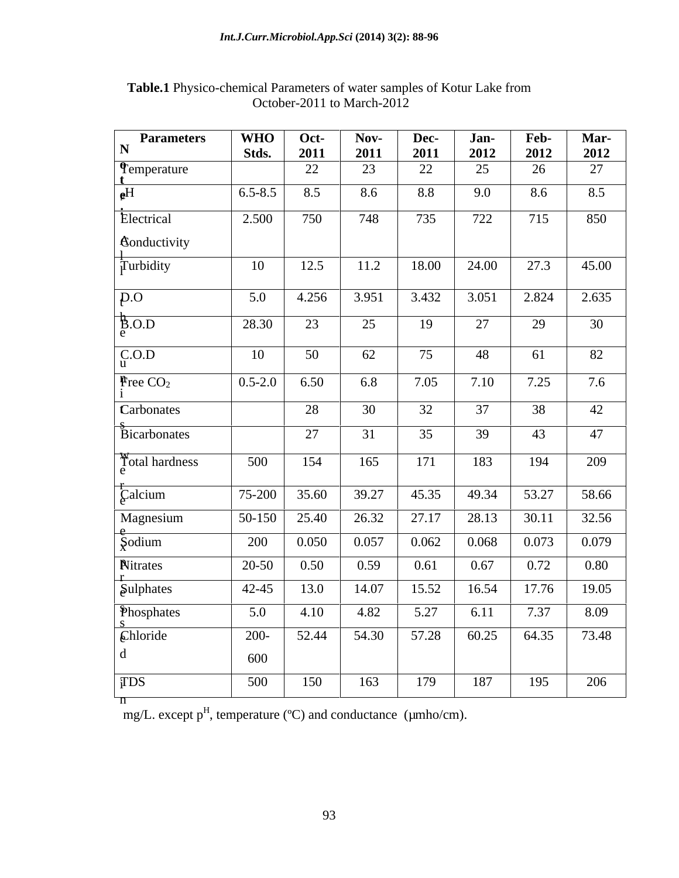| Parameters                       | <b>WHO</b>  | Oct-  | Nov-  | Dec-  | Jan-  | Feb-  | <b>Mar-</b> |
|----------------------------------|-------------|-------|-------|-------|-------|-------|-------------|
| $\mathbf N$                      | Stds.       | 2011  | 2011  | 2011  | 2012  | 2012  | 2012        |
| $\int_{t}$ emperature            |             | 22    | 23    | 22    | 25    | 26    | 27          |
| $e^H$                            | $6.5 - 8.5$ | 8.5   | 8.6   | 8.8   | 9.0   | 8.6   | 8.5         |
| Electrical                       | 2.500       | 750   | 748   | 735   | 722   | 715   | 850         |
| <b>Conductivity</b>              |             |       |       |       |       |       |             |
| $\frac{1}{1}$ Turbidity          | 10          | 12.5  | 11.2  | 18.00 | 24.00 | 27.3  | 45.00       |
| $\overline{p}$ .0                | 5.0         | 4.256 | 3.951 | 3.432 | 3.051 | 2.824 | 2.635       |
| $\frac{1}{2}$ .O.D               | 28.30       | 23    | 25    | 19    | 27    | 29    | 30          |
| C.O.D                            | 10          | 50    | 62    | 75    | 48    | 61    | 82          |
| $\mathbf{F}$ ree CO <sub>2</sub> | $0.5 - 2.0$ | 6.50  | 6.8   | 7.05  | 7.10  | 7.25  | 7.6         |
| Carbonates                       |             |       |       |       |       |       |             |
|                                  |             | 28    | 30    | 32    | 37    | 38    | 42          |
| Bicarbonates                     |             | 27    | 31    | 35    | 39    | 43    | 47          |
| Total hardness                   | 500         | 154   | 165   | 171   | 183   | 194   | 209         |
| $\frac{1}{2}$ Calcium            | 75-200      | 35.60 | 39.27 | 45.35 | 49.34 | 53.27 | 58.66       |
| Magnesium                        | 50-150      | 25.40 | 26.32 | 27.17 | 28.13 | 30.11 | 32.56       |
| $\zeta$ odium                    | 200         | 0.050 | 0.057 | 0.062 | 0.068 | 0.073 | 0.079       |
| <b>Nitrates</b>                  | $20 - 50$   | 0.50  | 0.59  | 0.61  | 0.67  | 0.72  | 0.80        |
| Sulphates                        | 42-45       | 13.0  | 14.07 | 15.52 | 16.54 | 17.76 | 19.05       |
| Phosphates                       | 5.0         | 4.10  | 4.82  | 5.27  | 6.11  | 7.37  | 8.09        |
| Chloride                         | $200 -$     | 52.44 | 54.30 | 57.28 | 60.25 | 64.35 | 73.48       |
| d                                | 600         |       |       |       |       |       |             |
| <b>TDS</b>                       | 500         | 150   | 163   | 179   | 187   | 195   | 206         |
| $\overline{\mathsf{n}}$          |             |       |       |       |       |       |             |

**Table.1** Physico-chemical Parameters of water samples of Kotur Lake from October-2011 to March-2012

mg/L. except  $p^H$ , temperature (°C) and conductance ( $\mu$ mho/cm).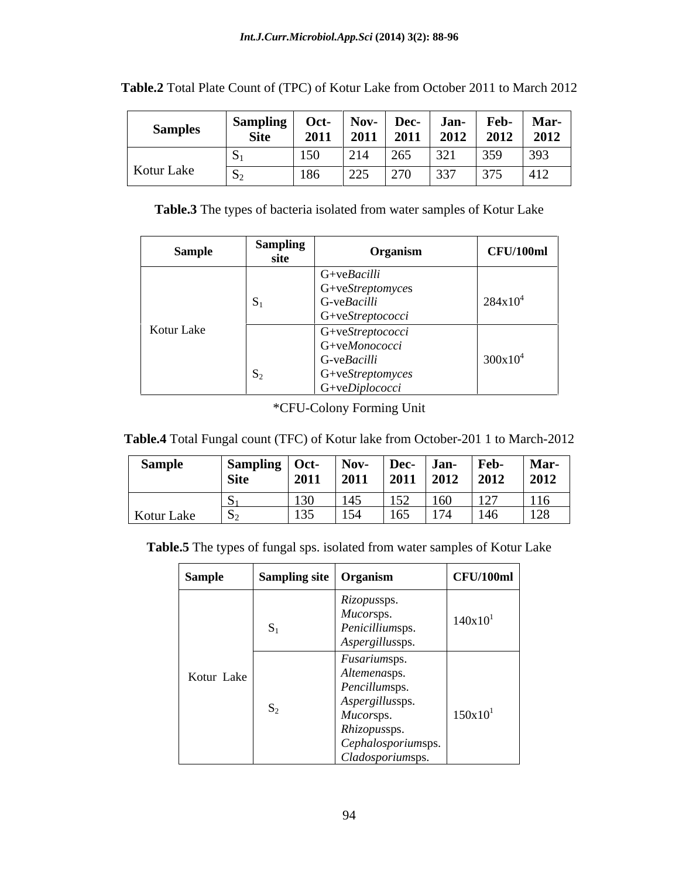| <b>Samples</b> | Sampling<br>$\sim$ | Oct- | Nov-         |                     | Jan- | Feb-           | <b>Mar-</b> |
|----------------|--------------------|------|--------------|---------------------|------|----------------|-------------|
|                | <b>Site</b>        | 2011 | 2011         | <b>Dec-</b><br>2011 | 2012 | $2012$<br>2012 | 2012        |
|                |                    | 150  | 214          | 265                 | 321  | 359            | 393         |
| Kotur Lake     | ヽ                  | 186  | 225<br>رے کے | 270                 | 337  | 375            | 412         |

| Table.2 Total Plate Count of (TPC) of Kotur Lake from October 20<br>2012<br>$2011$ in<br>to March 2012 |  |  |
|--------------------------------------------------------------------------------------------------------|--|--|
|--------------------------------------------------------------------------------------------------------|--|--|

**Table.3** The types of bacteria isolated from water samples of Kotur Lake

| Sample     | <b>Sampling</b><br>site | Organism                                              | CFU/100ml  |
|------------|-------------------------|-------------------------------------------------------|------------|
|            |                         | $G+veBacilli$                                         |            |
|            |                         | $G+veStreptomyces$<br>G-veBacilli<br>G+veStreptococci | $284x10^4$ |
| Kotur Lake |                         | $G+veStreptococci$<br>G+veMonococci                   |            |
|            |                         | $G$ -ve $Bacilli$<br>$G+veStreptomyces$               | $300x10^4$ |
|            |                         | $G + veDiplococci$                                    |            |

\*CFU-Colony Forming Unit

| Table.4 Total Fungal count (TFC) of Kotur lake from October-201 1 to March-2012 |  |
|---------------------------------------------------------------------------------|--|
|---------------------------------------------------------------------------------|--|

| <b>Sample</b> | Sampling   Oct- |      | Nov- | Dec- | Jan- | Feb-                | <b>Mar-</b> |
|---------------|-----------------|------|------|------|------|---------------------|-------------|
|               | <b>Site</b>     | 2011 | 2011 | 2011 | 2012 | 2012                | 2012        |
|               |                 | 130  | 145  | 152  | 160  | 127<br>$\mathbf{1}$ | 116         |
| Kotur Lake    |                 | 135  | 154  | 165  | 174  | 146                 | 128         |

**Table.5** The types of fungal sps. isolated from water samples of Kotur Lake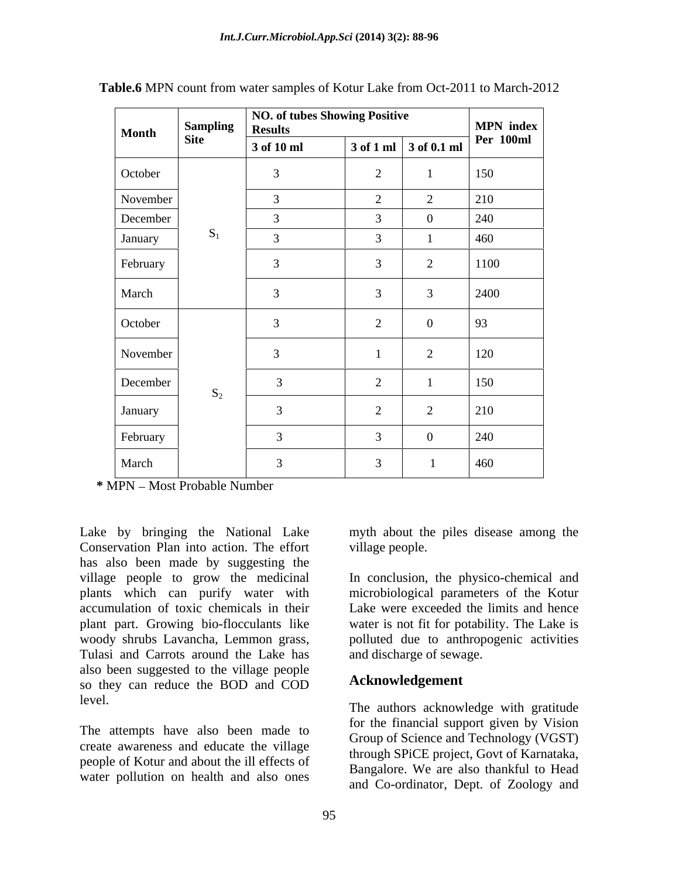| Month    | <b>Sampling</b> | NO. of tubes Showing Positive<br><b>Results</b> |                |                                               | MPN index        |
|----------|-----------------|-------------------------------------------------|----------------|-----------------------------------------------|------------------|
|          | <b>Site</b>     | 3 of 10 ml                                      |                | $\vert$ 3 of 1 ml $\vert$ 3 of 0.1 ml $\vert$ | <b>Per 100ml</b> |
| October  |                 | 3                                               | $\overline{2}$ |                                               | 150              |
| November |                 | 3                                               | $\sim$         | 2                                             | 210              |
| December |                 | $\mathcal{E}$                                   | $\mathcal{R}$  | $\bf{0}$                                      | 240              |
| January  | $S_1$           | $\mathcal{R}$                                   | $\mathcal{R}$  |                                               | 460              |
| February |                 | 3                                               | $\overline{3}$ | 2                                             | 1100             |
| March    |                 | 3                                               | $\overline{3}$ | $\overline{3}$                                | 2400             |
| October  |                 | 3                                               | 2              | $\bf{0}$                                      | 93               |
| November |                 | 3                                               |                | 2                                             | 120              |
| December | $S_2$           | $\overline{3}$                                  | $\bigcap$<br>∠ |                                               | 150              |
| January  |                 | $\sim$                                          | 2              | 2                                             | 210              |
| February |                 | $\mathcal{R}$                                   | $\mathcal{R}$  | $\overline{0}$                                | 240              |
| March    |                 | $\mathbf{z}$                                    | $\overline{3}$ |                                               | 460              |

**Table.6** MPN count from water samples of Kotur Lake from Oct-2011 to March-2012

 $*$  MPN – Most Probable Number

Lake by bringing the National Lake Conservation Plan into action. The effort has also been made by suggesting the village people to grow the medicinal In conclusion, the physico-chemical and plants which can purify water with microbiological parameters of the Kotur accumulation of toxic chemicals in their Lake were exceeded the limits and hence plant part. Growing bio-flocculants like water is not fit for potability. The Lake is woody shrubs Lavancha, Lemmon grass, polluted due to anthropogenic activities Tulasi and Carrots around the Lake has also been suggested to the village people so they can reduce the BOD and COD

The attempts have also been made to create awareness and educate the village people of Kotur and about the ill effects of water pollution on health and also ones

myth about the piles disease among the village people.

and discharge of sewage.

### **Acknowledgement**

level. The authors acknowledge with gratitude for the financial support given by Vision Group of Science and Technology (VGST) through SPiCE project, Govt of Karnataka, Bangalore. We are also thankful to Head and Co-ordinator, Dept. of Zoology and